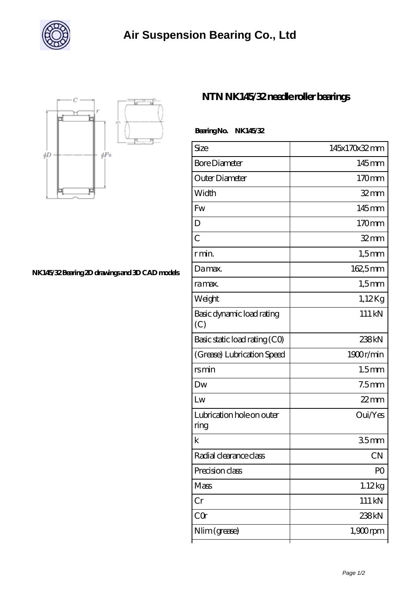



**[NK145/32 Bearing 2D drawings and 3D CAD models](https://whats-up-cupcake.com/pic-20423.html)**

## **[NTN NK145/32 needle roller bearings](https://whats-up-cupcake.com/af-20423-ntn-nk145-32-needle-roller-bearings.html)**

 **Bearing No. NK145/32**

| Size                              | 145x170x32mm      |
|-----------------------------------|-------------------|
| <b>Bore Diameter</b>              | 145mm             |
| Outer Diameter                    | 170mm             |
| Width                             | $32$ mm           |
| Fw                                | 145mm             |
| D                                 | 170mm             |
| $\overline{C}$                    | $32$ mm           |
| r min.                            | $1,5$ mm          |
| Damax.                            | 162,5mm           |
| ra max.                           | $1,5$ mm          |
| Weight                            | 1,12Kg            |
| Basic dynamic load rating<br>(C)  | 111 kN            |
| Basic static load rating (CO)     | 238kN             |
| (Grease) Lubrication Speed        | 1900r/min         |
| rsmin                             | 1.5 <sub>mm</sub> |
| Dw                                | 7.5 <sub>mm</sub> |
| Lw                                | $22$ mm           |
| Lubrication hole on outer<br>ring | Oui/Yes           |
| $\mathbf k$                       | 35mm              |
| Radial clearance class            | CN                |
| Precision class                   | P <sub>O</sub>    |
| Mass                              | 1.12kg            |
| Cr                                | 111 kN            |
| CQ                                | 238kN             |
| Nlim (grease)                     | $1,900$ rpm       |
|                                   |                   |